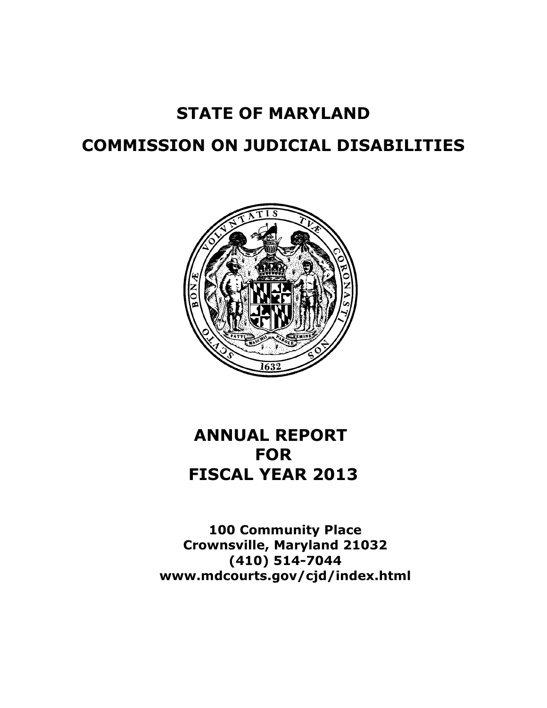# **STATE OF MARYLAND**

# **COMMISSION ON JUDICIAL DISABILITIES**



# **ANNUAL REPORT FOR FISCAL YEAR 2013**

**100 Community Place Crownsville, Maryland 21032 (410) 514-7044 www.mdcourts.gov/cjd/index.html**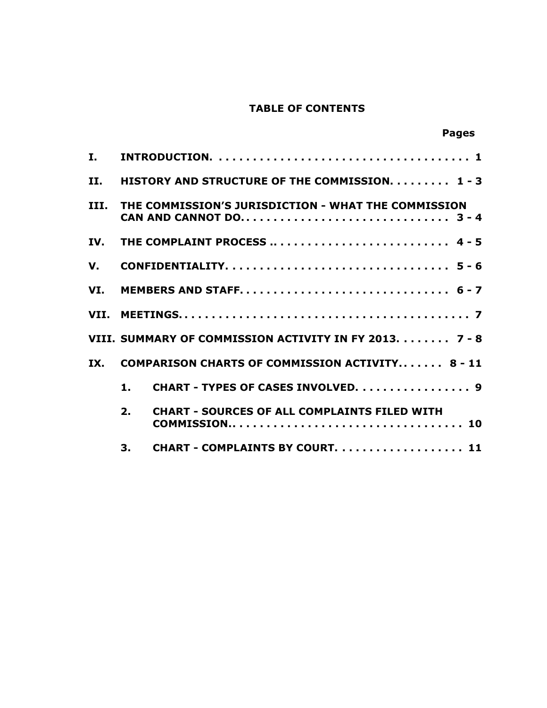# **TABLE OF CONTENTS**

|      |    |                                                        | <b>Pages</b> |
|------|----|--------------------------------------------------------|--------------|
| I.   |    |                                                        |              |
| II.  |    | HISTORY AND STRUCTURE OF THE COMMISSION. 1 - 3         |              |
| III. |    | THE COMMISSION'S JURISDICTION - WHAT THE COMMISSION    |              |
| IV.  |    | THE COMPLAINT PROCESS  4 - 5                           |              |
| V.   |    |                                                        |              |
| VI.  |    |                                                        |              |
|      |    |                                                        |              |
|      |    | VIII. SUMMARY OF COMMISSION ACTIVITY IN FY 2013. 7 - 8 |              |
| IX.  |    | <b>COMPARISON CHARTS OF COMMISSION ACTIVITY 8 - 11</b> |              |
|      | 1. | CHART - TYPES OF CASES INVOLVED. 9                     |              |
|      | 2. | <b>CHART - SOURCES OF ALL COMPLAINTS FILED WITH</b>    |              |
|      | 3. | CHART - COMPLAINTS BY COURT. 11                        |              |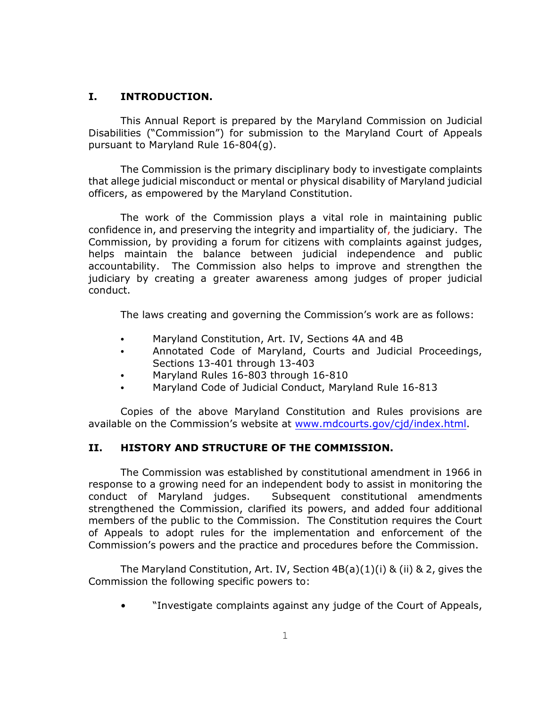### **I. INTRODUCTION.**

This Annual Report is prepared by the Maryland Commission on Judicial Disabilities ("Commission") for submission to the Maryland Court of Appeals pursuant to Maryland Rule 16-804(g).

The Commission is the primary disciplinary body to investigate complaints that allege judicial misconduct or mental or physical disability of Maryland judicial officers, as empowered by the Maryland Constitution.

The work of the Commission plays a vital role in maintaining public confidence in, and preserving the integrity and impartiality of, the judiciary. The Commission, by providing a forum for citizens with complaints against judges, helps maintain the balance between judicial independence and public accountability. The Commission also helps to improve and strengthen the judiciary by creating a greater awareness among judges of proper judicial conduct.

The laws creating and governing the Commission's work are as follows:

- Maryland Constitution, Art. IV, Sections 4A and 4B
- Annotated Code of Maryland, Courts and Judicial Proceedings, Sections 13-401 through 13-403
- Maryland Rules 16-803 through 16-810
- Maryland Code of Judicial Conduct, Maryland Rule 16-813

Copies of the above Maryland Constitution and Rules provisions are available on the Commission's website at [www.mdcourts.gov/cjd/index.html](http://www.mdcourts.gov).

# **II. HISTORY AND STRUCTURE OF THE COMMISSION.**

The Commission was established by constitutional amendment in 1966 in response to a growing need for an independent body to assist in monitoring the conduct of Maryland judges. Subsequent constitutional amendments strengthened the Commission, clarified its powers, and added four additional members of the public to the Commission. The Constitution requires the Court of Appeals to adopt rules for the implementation and enforcement of the Commission's powers and the practice and procedures before the Commission.

The Maryland Constitution, Art. IV, Section  $4B(a)(1)(i)$  & (ii) & 2, gives the Commission the following specific powers to:

• "Investigate complaints against any judge of the Court of Appeals,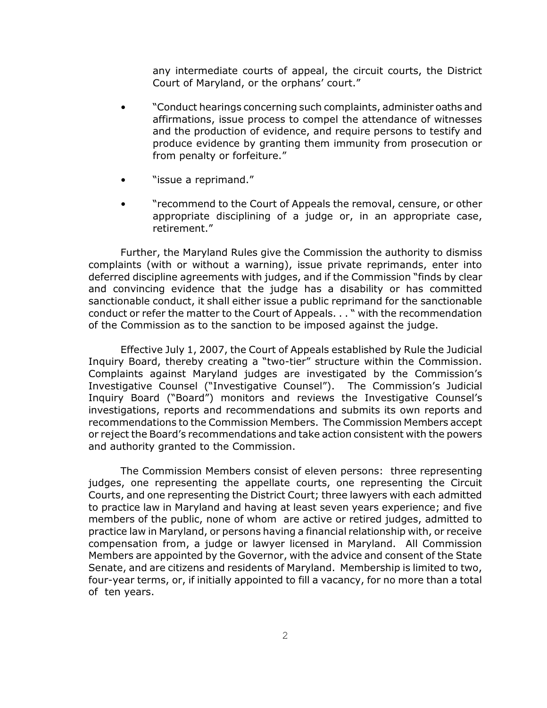any intermediate courts of appeal, the circuit courts, the District Court of Maryland, or the orphans' court."

- "Conduct hearings concerning such complaints, administer oaths and affirmations, issue process to compel the attendance of witnesses and the production of evidence, and require persons to testify and produce evidence by granting them immunity from prosecution or from penalty or forfeiture."
- "issue a reprimand."
- "recommend to the Court of Appeals the removal, censure, or other appropriate disciplining of a judge or, in an appropriate case, retirement."

Further, the Maryland Rules give the Commission the authority to dismiss complaints (with or without a warning), issue private reprimands, enter into deferred discipline agreements with judges, and if the Commission "finds by clear and convincing evidence that the judge has a disability or has committed sanctionable conduct, it shall either issue a public reprimand for the sanctionable conduct or refer the matter to the Court of Appeals. . . " with the recommendation of the Commission as to the sanction to be imposed against the judge.

Effective July 1, 2007, the Court of Appeals established by Rule the Judicial Inquiry Board, thereby creating a "two-tier" structure within the Commission. Complaints against Maryland judges are investigated by the Commission's Investigative Counsel ("Investigative Counsel"). The Commission's Judicial Inquiry Board ("Board") monitors and reviews the Investigative Counsel's investigations, reports and recommendations and submits its own reports and recommendations to the Commission Members. The Commission Members accept or reject the Board's recommendations and take action consistent with the powers and authority granted to the Commission.

The Commission Members consist of eleven persons: three representing judges, one representing the appellate courts, one representing the Circuit Courts, and one representing the District Court; three lawyers with each admitted to practice law in Maryland and having at least seven years experience; and five members of the public, none of whom are active or retired judges, admitted to practice law in Maryland, or persons having a financial relationship with, or receive compensation from, a judge or lawyer licensed in Maryland. All Commission Members are appointed by the Governor, with the advice and consent of the State Senate, and are citizens and residents of Maryland. Membership is limited to two, four-year terms, or, if initially appointed to fill a vacancy, for no more than a total of ten years.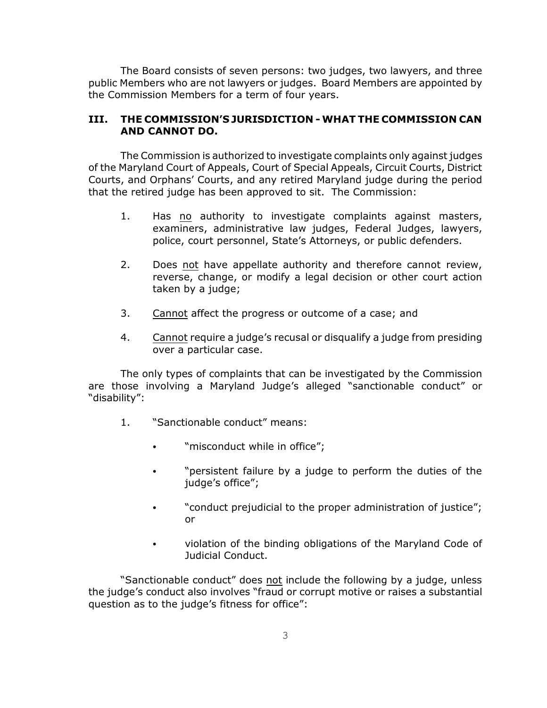The Board consists of seven persons: two judges, two lawyers, and three public Members who are not lawyers or judges. Board Members are appointed by the Commission Members for a term of four years.

#### **III. THE COMMISSION'S JURISDICTION - WHAT THE COMMISSION CAN AND CANNOT DO.**

The Commission is authorized to investigate complaints only against judges of the Maryland Court of Appeals, Court of Special Appeals, Circuit Courts, District Courts, and Orphans' Courts, and any retired Maryland judge during the period that the retired judge has been approved to sit. The Commission:

- 1. Has no authority to investigate complaints against masters, examiners, administrative law judges, Federal Judges, lawyers, police, court personnel, State's Attorneys, or public defenders.
- 2. Does not have appellate authority and therefore cannot review, reverse, change, or modify a legal decision or other court action taken by a judge;
- 3. Cannot affect the progress or outcome of a case; and
- 4. Cannot require a judge's recusal or disqualify a judge from presiding over a particular case.

The only types of complaints that can be investigated by the Commission are those involving a Maryland Judge's alleged "sanctionable conduct" or "disability":

- 1. "Sanctionable conduct" means:
	- "misconduct while in office";
	- "persistent failure by a judge to perform the duties of the judge's office";
	- "conduct prejudicial to the proper administration of justice"; or
	- violation of the binding obligations of the Maryland Code of Judicial Conduct.

"Sanctionable conduct" does not include the following by a judge, unless the judge's conduct also involves "fraud or corrupt motive or raises a substantial question as to the judge's fitness for office":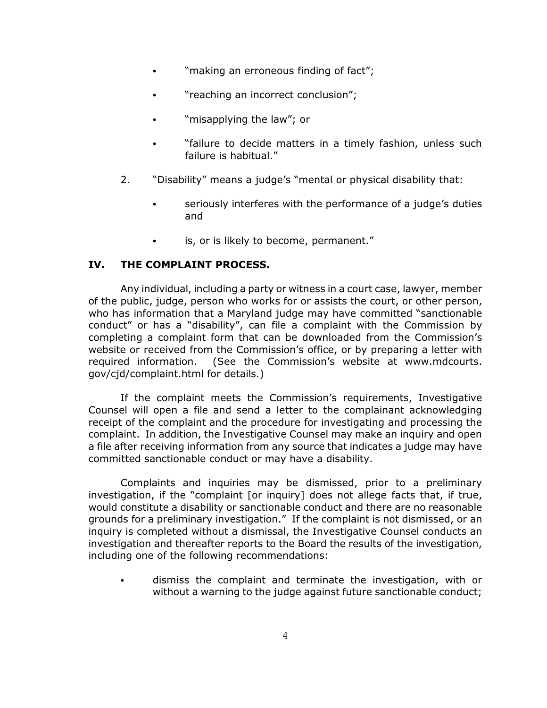- . "making an erroneous finding of fact";
- "reaching an incorrect conclusion";
- "misapplying the law"; or
- "failure to decide matters in a timely fashion, unless such failure is habitual."
- 2. "Disability" means a judge's "mental or physical disability that:
	- seriously interferes with the performance of a judge's duties and
	- is, or is likely to become, permanent."

### **IV. THE COMPLAINT PROCESS.**

Any individual, including a party or witness in a court case, lawyer, member of the public, judge, person who works for or assists the court, or other person, who has information that a Maryland judge may have committed "sanctionable conduct" or has a "disability", can file a complaint with the Commission by completing a complaint form that can be downloaded from the Commission's website or received from the Commission's office, or by preparing a letter with required information. (See the Commission's website at www.mdcourts. gov/cjd/complaint.html for details.)

If the complaint meets the Commission's requirements, Investigative Counsel will open a file and send a letter to the complainant acknowledging receipt of the complaint and the procedure for investigating and processing the complaint. In addition, the Investigative Counsel may make an inquiry and open a file after receiving information from any source that indicates a judge may have committed sanctionable conduct or may have a disability.

Complaints and inquiries may be dismissed, prior to a preliminary investigation, if the "complaint [or inquiry] does not allege facts that, if true, would constitute a disability or sanctionable conduct and there are no reasonable grounds for a preliminary investigation." If the complaint is not dismissed, or an inquiry is completed without a dismissal, the Investigative Counsel conducts an investigation and thereafter reports to the Board the results of the investigation, including one of the following recommendations:

• dismiss the complaint and terminate the investigation, with or without a warning to the judge against future sanctionable conduct;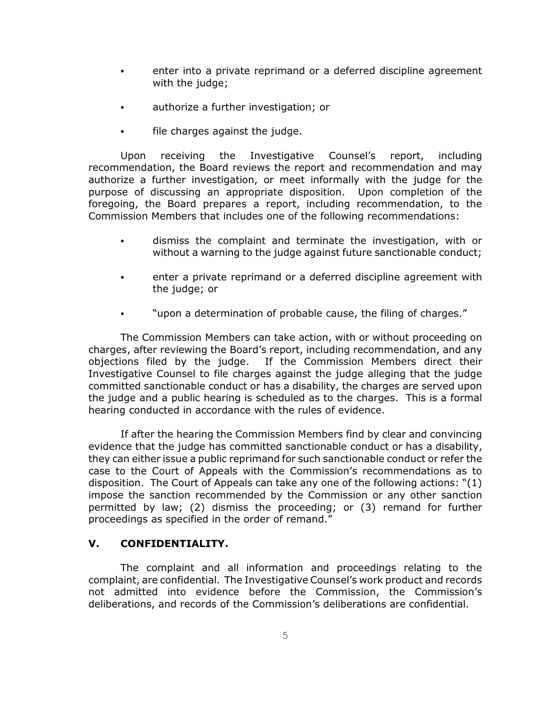- enter into a private reprimand or a deferred discipline agreement with the judge;
- authorize a further investigation; or
- file charges against the judge.

Upon receiving the Investigative Counsel's report, including recommendation, the Board reviews the report and recommendation and may authorize a further investigation, or meet informally with the judge for the purpose of discussing an appropriate disposition. Upon completion of the foregoing, the Board prepares a report, including recommendation, to the Commission Members that includes one of the following recommendations:

- dismiss the complaint and terminate the investigation, with or without a warning to the judge against future sanctionable conduct;
- enter a private reprimand or a deferred discipline agreement with the judge; or
- "upon a determination of probable cause, the filing of charges."

The Commission Members can take action, with or without proceeding on charges, after reviewing the Board's report, including recommendation, and any objections filed by the judge. If the Commission Members direct their Investigative Counsel to file charges against the judge alleging that the judge committed sanctionable conduct or has a disability, the charges are served upon the judge and a public hearing is scheduled as to the charges. This is a formal hearing conducted in accordance with the rules of evidence.

If after the hearing the Commission Members find by clear and convincing evidence that the judge has committed sanctionable conduct or has a disability, they can either issue a public reprimand for such sanctionable conduct or refer the case to the Court of Appeals with the Commission's recommendations as to disposition. The Court of Appeals can take any one of the following actions: "(1) impose the sanction recommended by the Commission or any other sanction permitted by law; (2) dismiss the proceeding; or (3) remand for further proceedings as specified in the order of remand."

# **V. CONFIDENTIALITY.**

The complaint and all information and proceedings relating to the complaint, are confidential. The Investigative Counsel's work product and records not admitted into evidence before the Commission, the Commission's deliberations, and records of the Commission's deliberations are confidential.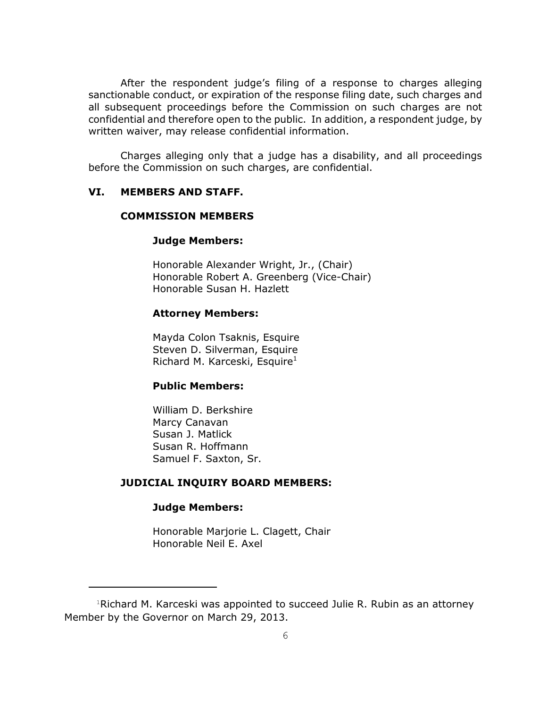After the respondent judge's filing of a response to charges alleging sanctionable conduct, or expiration of the response filing date, such charges and all subsequent proceedings before the Commission on such charges are not confidential and therefore open to the public. In addition, a respondent judge, by written waiver, may release confidential information.

Charges alleging only that a judge has a disability, and all proceedings before the Commission on such charges, are confidential.

### **VI. MEMBERS AND STAFF.**

#### **COMMISSION MEMBERS**

#### **Judge Members:**

Honorable Alexander Wright, Jr., (Chair) Honorable Robert A. Greenberg (Vice-Chair) Honorable Susan H. Hazlett

#### **Attorney Members:**

Mayda Colon Tsaknis, Esquire Steven D. Silverman, Esquire Richard M. Karceski, Esquire $1$ 

### **Public Members:**

William D. Berkshire Marcy Canavan Susan J. Matlick Susan R. Hoffmann Samuel F. Saxton, Sr.

### **JUDICIAL INQUIRY BOARD MEMBERS:**

#### **Judge Members:**

Honorable Marjorie L. Clagett, Chair Honorable Neil E. Axel

 $1$ Richard M. Karceski was appointed to succeed Julie R. Rubin as an attorney Member by the Governor on March 29, 2013.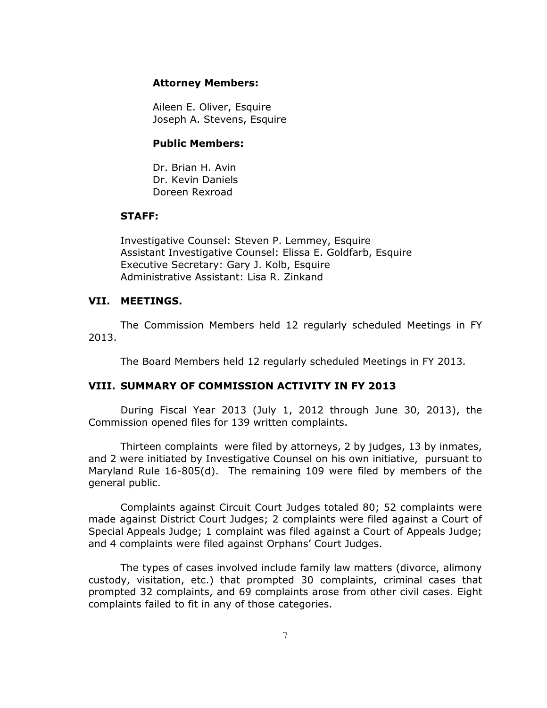#### **Attorney Members:**

Aileen E. Oliver, Esquire Joseph A. Stevens, Esquire

#### **Public Members:**

Dr. Brian H. Avin Dr. Kevin Daniels Doreen Rexroad

#### **STAFF:**

Investigative Counsel: Steven P. Lemmey, Esquire Assistant Investigative Counsel: Elissa E. Goldfarb, Esquire Executive Secretary: Gary J. Kolb, Esquire Administrative Assistant: Lisa R. Zinkand

### **VII. MEETINGS.**

The Commission Members held 12 regularly scheduled Meetings in FY 2013.

The Board Members held 12 regularly scheduled Meetings in FY 2013.

#### **VIII. SUMMARY OF COMMISSION ACTIVITY IN FY 2013**

During Fiscal Year 2013 (July 1, 2012 through June 30, 2013), the Commission opened files for 139 written complaints.

Thirteen complaints were filed by attorneys, 2 by judges, 13 by inmates, and 2 were initiated by Investigative Counsel on his own initiative, pursuant to Maryland Rule 16-805(d). The remaining 109 were filed by members of the general public.

Complaints against Circuit Court Judges totaled 80; 52 complaints were made against District Court Judges; 2 complaints were filed against a Court of Special Appeals Judge; 1 complaint was filed against a Court of Appeals Judge; and 4 complaints were filed against Orphans' Court Judges.

The types of cases involved include family law matters (divorce, alimony custody, visitation, etc.) that prompted 30 complaints, criminal cases that prompted 32 complaints, and 69 complaints arose from other civil cases. Eight complaints failed to fit in any of those categories.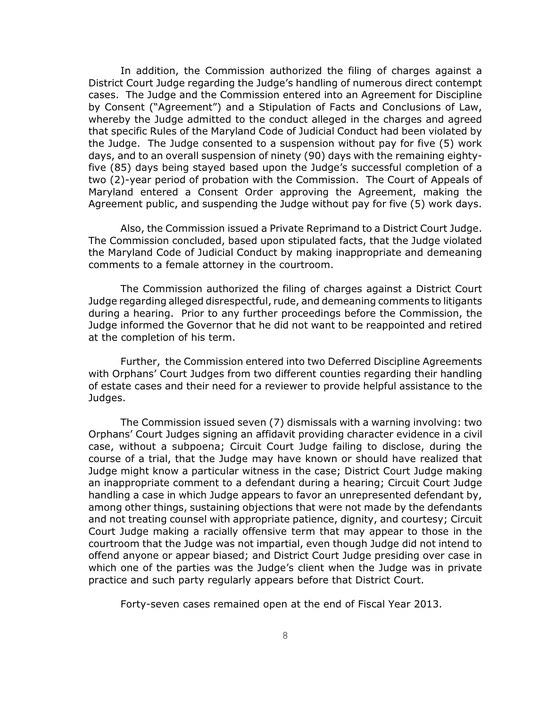In addition, the Commission authorized the filing of charges against a District Court Judge regarding the Judge's handling of numerous direct contempt cases. The Judge and the Commission entered into an Agreement for Discipline by Consent ("Agreement") and a Stipulation of Facts and Conclusions of Law, whereby the Judge admitted to the conduct alleged in the charges and agreed that specific Rules of the Maryland Code of Judicial Conduct had been violated by the Judge. The Judge consented to a suspension without pay for five (5) work days, and to an overall suspension of ninety (90) days with the remaining eightyfive (85) days being stayed based upon the Judge's successful completion of a two (2)-year period of probation with the Commission. The Court of Appeals of Maryland entered a Consent Order approving the Agreement, making the Agreement public, and suspending the Judge without pay for five (5) work days.

Also, the Commission issued a Private Reprimand to a District Court Judge. The Commission concluded, based upon stipulated facts, that the Judge violated the Maryland Code of Judicial Conduct by making inappropriate and demeaning comments to a female attorney in the courtroom.

The Commission authorized the filing of charges against a District Court Judge regarding alleged disrespectful, rude, and demeaning comments to litigants during a hearing. Prior to any further proceedings before the Commission, the Judge informed the Governor that he did not want to be reappointed and retired at the completion of his term.

Further, the Commission entered into two Deferred Discipline Agreements with Orphans' Court Judges from two different counties regarding their handling of estate cases and their need for a reviewer to provide helpful assistance to the Judges.

The Commission issued seven (7) dismissals with a warning involving: two Orphans' Court Judges signing an affidavit providing character evidence in a civil case, without a subpoena; Circuit Court Judge failing to disclose, during the course of a trial, that the Judge may have known or should have realized that Judge might know a particular witness in the case; District Court Judge making an inappropriate comment to a defendant during a hearing; Circuit Court Judge handling a case in which Judge appears to favor an unrepresented defendant by, among other things, sustaining objections that were not made by the defendants and not treating counsel with appropriate patience, dignity, and courtesy; Circuit Court Judge making a racially offensive term that may appear to those in the courtroom that the Judge was not impartial, even though Judge did not intend to offend anyone or appear biased; and District Court Judge presiding over case in which one of the parties was the Judge's client when the Judge was in private practice and such party regularly appears before that District Court.

Forty-seven cases remained open at the end of Fiscal Year 2013.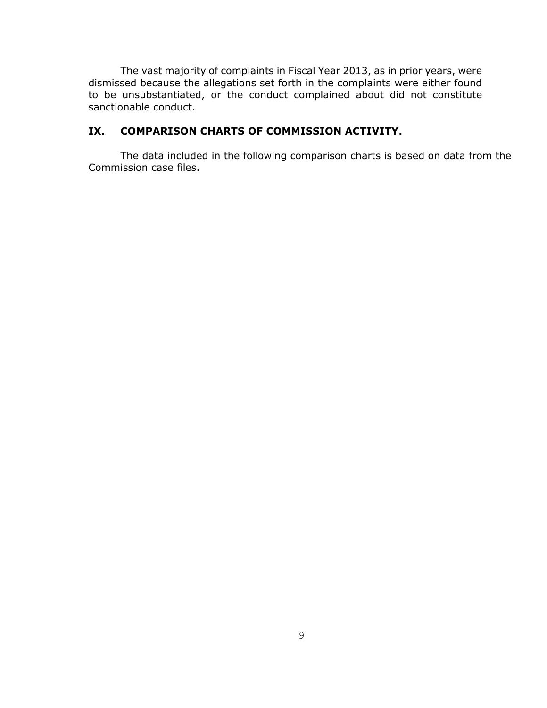The vast majority of complaints in Fiscal Year 2013, as in prior years, were dismissed because the allegations set forth in the complaints were either found to be unsubstantiated, or the conduct complained about did not constitute sanctionable conduct.

## **IX. COMPARISON CHARTS OF COMMISSION ACTIVITY.**

The data included in the following comparison charts is based on data from the Commission case files.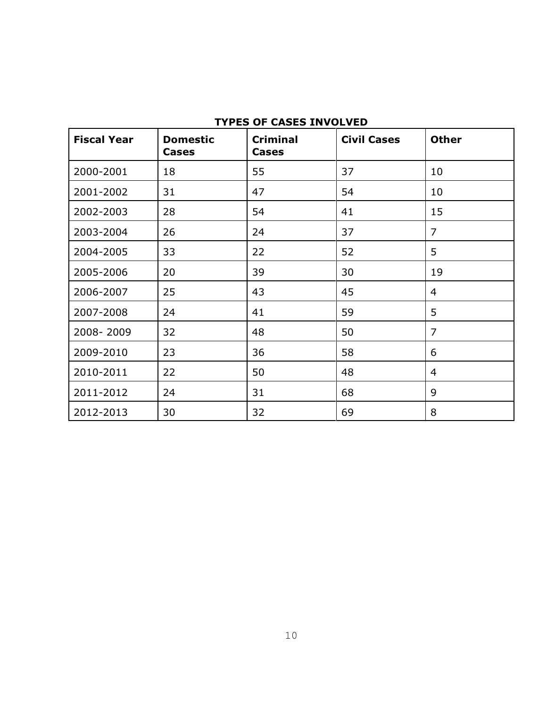| <b>Fiscal Year</b> | <b>Domestic</b><br><b>Cases</b> | <b>Criminal</b><br><b>Cases</b> | <b>Civil Cases</b> | <b>Other</b>   |
|--------------------|---------------------------------|---------------------------------|--------------------|----------------|
| 2000-2001          | 18                              | 55                              | 37                 | 10             |
| 2001-2002          | 31                              | 47                              | 54                 | 10             |
| 2002-2003          | 28                              | 54                              | 41                 | 15             |
| 2003-2004          | 26                              | 24                              | 37                 | $\overline{7}$ |
| 2004-2005          | 33                              | 22                              | 52                 | 5              |
| 2005-2006          | 20                              | 39                              | 30                 | 19             |
| 2006-2007          | 25                              | 43                              | 45                 | 4              |
| 2007-2008          | 24                              | 41                              | 59                 | 5              |
| 2008-2009          | 32                              | 48                              | 50                 | $\overline{7}$ |
| 2009-2010          | 23                              | 36                              | 58                 | 6              |
| 2010-2011          | 22                              | 50                              | 48                 | 4              |
| 2011-2012          | 24                              | 31                              | 68                 | 9              |
| 2012-2013          | 30                              | 32                              | 69                 | 8              |

## **TYPES OF CASES INVOLVED**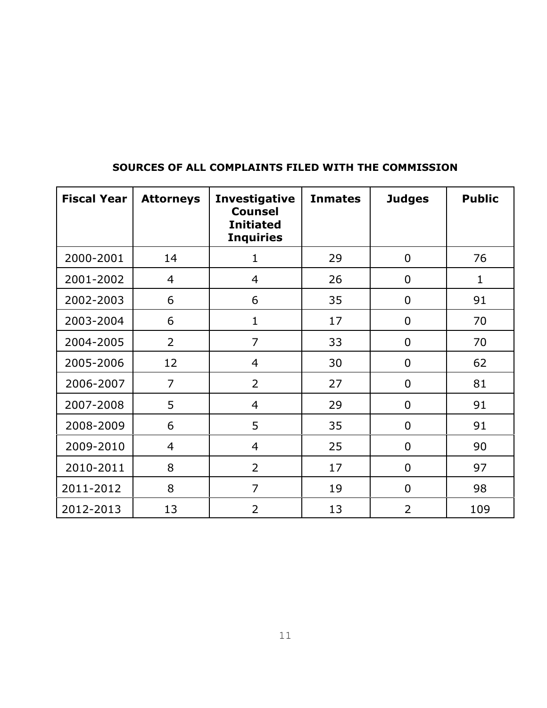| <b>Fiscal Year</b> | <b>Attorneys</b> | <b>Investigative</b><br><b>Counsel</b><br><b>Initiated</b><br><b>Inquiries</b> | <b>Inmates</b> | <b>Judges</b>  | <b>Public</b> |
|--------------------|------------------|--------------------------------------------------------------------------------|----------------|----------------|---------------|
| 2000-2001          | 14               | $\mathbf{1}$                                                                   | 29             | $\overline{0}$ | 76            |
| 2001-2002          | 4                | $\overline{4}$                                                                 | 26             | $\mathbf 0$    | $\mathbf{1}$  |
| 2002-2003          | 6                | 6                                                                              | 35             | 0              | 91            |
| 2003-2004          | 6                | $\mathbf{1}$                                                                   | 17             | $\overline{0}$ | 70            |
| 2004-2005          | $\overline{2}$   | $\overline{7}$                                                                 | 33             | $\overline{0}$ | 70            |
| 2005-2006          | 12               | $\overline{4}$                                                                 | 30             | $\mathbf 0$    | 62            |
| 2006-2007          | $\overline{7}$   | $\overline{2}$                                                                 | 27             | $\mathbf 0$    | 81            |
| 2007-2008          | 5                | $\overline{4}$                                                                 | 29             | $\overline{0}$ | 91            |
| 2008-2009          | 6                | 5                                                                              | 35             | $\mathbf 0$    | 91            |
| 2009-2010          | $\overline{4}$   | $\overline{4}$                                                                 | 25             | $\mathbf 0$    | 90            |
| 2010-2011          | 8                | $\overline{2}$                                                                 | 17             | $\mathbf 0$    | 97            |
| 2011-2012          | 8                | $\overline{7}$                                                                 | 19             | $\overline{0}$ | 98            |
| 2012-2013          | 13               | $\overline{2}$                                                                 | 13             | $\overline{2}$ | 109           |

# **SOURCES OF ALL COMPLAINTS FILED WITH THE COMMISSION**